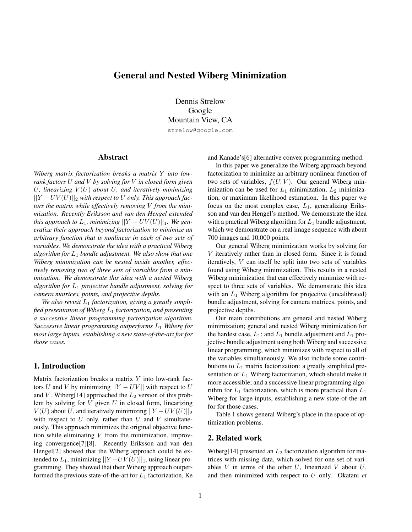# General and Nested Wiberg Minimization

Dennis Strelow Google Mountain View, CA strelow@google.com

## Abstract

*Wiberg matrix factorization breaks a matrix* Y *into lowrank factors* U *and* V *by solving for* V *in closed form given* U<sub>r</sub>, linearizing  $V(U)$  about U<sub>r</sub>, and iteratively minimizing ||Y − UV (U)||<sup>2</sup> *with respect to* U *only. This approach factors the matrix while effectively removing* V *from the minimization. Recently Eriksson and van den Hengel extended this approach to*  $L_1$ *, minimizing*  $||Y - UV(U)||_1$ *. We generalize their approach beyond factorization to minimize an arbitrary function that is nonlinear in each of two sets of variables. We demonstrate the idea with a practical Wiberg algorithm for* L<sup>1</sup> *bundle adjustment. We also show that one Wiberg minimization can be nested inside another, effectively removing two of three sets of variables from a minimization. We demonstrate this idea with a nested Wiberg algorithm for* L<sup>1</sup> *projective bundle adjustment, solving for camera matrices, points, and projective depths.*

We also revisit  $L_1$  *factorization, giving a greatly simplified presentation of Wiberg* L<sup>1</sup> *factorization, and presenting a successive linear programming factorization algorithm. Successive linear programming outperforms* L<sup>1</sup> *Wiberg for most large inputs, establishing a new state-of-the-art for for those cases.*

## 1. Introduction

Matrix factorization breaks a matrix  $Y$  into low-rank factors U and V by minimizing  $||Y - UV||$  with respect to U and V. Wiberg[14] approached the  $L_2$  version of this problem by solving for  $V$  given  $U$  in closed form, linearizing  $V(U)$  about U, and iteratively minimizing  $||Y - UV(U)||_2$ with respect to  $U$  only, rather than  $U$  and  $V$  simultaneously. This approach minimizes the original objective function while eliminating  $V$  from the minimization, improving convergence[7][8]. Recently Eriksson and van den Hengel[2] showed that the Wiberg approach could be extended to  $L_1$ , minimizing  $||Y - UV(U)||_1$ , using linear programming. They showed that their Wiberg approach outperformed the previous state-of-the-art for  $L_1$  factorization, Ke and Kanade's[6] alternative convex programming method.

In this paper we generalize the Wiberg approach beyond factorization to minimize an arbitrary nonlinear function of two sets of variables,  $f(U, V)$ . Our general Wiberg minimization can be used for  $L_1$  minimization,  $L_2$  minimization, or maximum likelihood estimation. In this paper we focus on the most complex case,  $L_1$ , generalizing Eriksson and van den Hengel's method. We demonstrate the idea with a practical Wiberg algorithm for  $L_1$  bundle adjustment, which we demonstrate on a real image sequence with about 700 images and 10,000 points.

Our general Wiberg minimization works by solving for V iteratively rather than in closed form. Since it is found iteratively, V can itself be split into two sets of variables found using Wiberg minimization. This results in a nested Wiberg minimization that can effectively minimize with respect to three sets of variables. We demonstrate this idea with an  $L_1$  Wiberg algorithm for projective (uncalibrated) bundle adjustment, solving for camera matrices, points, and projective depths.

Our main contributions are general and nested Wiberg minimization; general and nested Wiberg minimization for the hardest case,  $L_1$ ; and  $L_1$  bundle adjustment and  $L_1$  projective bundle adjustment using both Wiberg and successive linear programming, which minimizes with respect to all of the variables simultaneously. We also include some contributions to  $L_1$  matrix factorization: a greatly simplified presentation of  $L_1$  Wiberg factorization, which should make it more accessible; and a successive linear programming algorithm for  $L_1$  factorization, which is more practical than  $L_1$ Wiberg for large inputs, establishing a new state-of-the-art for for those cases.

Table 1 shows general Wiberg's place in the space of optimization problems.

## 2. Related work

Wiberg[14] presented an  $L_2$  factorization algorithm for matrices with missing data, which solved for one set of variables  $V$  in terms of the other  $U$ , linearized  $V$  about  $U$ , and then minimized with respect to U only. Okatani *et*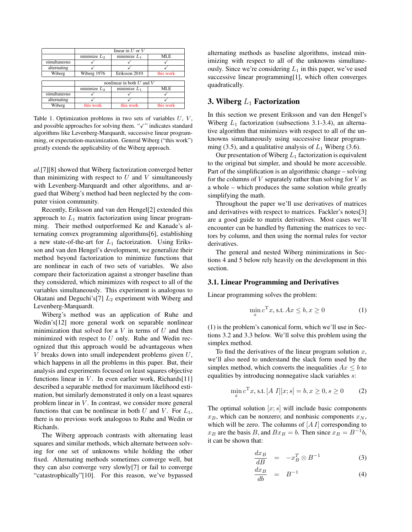|              | linear in $U$ or $V$               |                |            |
|--------------|------------------------------------|----------------|------------|
|              | minimize $L_2$                     | minimize $L_1$ | <b>MLE</b> |
| simultaneous |                                    |                |            |
| alternating  |                                    |                |            |
| Wiberg       | Wiberg 1976                        | Eriksson 2010  | this work  |
|              |                                    |                |            |
|              | nonlinear in both $U$ and $V$      |                |            |
|              | $\overline{\text{minimize}}$ $L_2$ | minimize $L_1$ | MLE        |
| simultaneous |                                    |                |            |
| alternating  |                                    |                |            |
| Wiberg       | this work                          | this work      | this work  |

Table 1. Optimization problems in two sets of variables  $U, V,$ and possible approaches for solving them. " $\checkmark$ " indicates standard algorithms like Levenberg-Marquardt, successive linear programming, or expectation-maximization. General Wiberg ("this work") greatly extends the applicability of the Wiberg approach.

*al.*[7][8] showed that Wiberg factorization converged better than minimizing with respect to  $U$  and  $V$  simultaneously with Levenberg-Marquardt and other algorithms, and argued that Wiberg's method had been neglected by the computer vision community.

Recently, Eriksson and van den Hengel[2] extended this approach to  $L_1$  matrix factorization using linear programming. Their method outperformed Ke and Kanade's alternating convex programming algorithms[6], establishing a new state-of-the-art for  $L_1$  factorization. Using Eriksson and van den Hengel's development, we generalize their method beyond factorization to minimize functions that are nonlinear in each of two sets of variables. We also compare their factorization against a stronger baseline than they considered, which minimizes with respect to all of the variables simultaneously. This experiment is analogous to Okatani and Deguchi's[7]  $L_2$  experiment with Wiberg and Levenberg-Marquardt.

Wiberg's method was an application of Ruhe and Wedin's[12] more general work on separable nonlinear minimization that solved for a  $V$  in terms of  $U$  and then minimized with respect to  $U$  only. Ruhe and Wedin recognized that this approach would be advantageous when  $V$  breaks down into small independent problems given  $U$ , which happens in all the problems in this paper. But, their analysis and experiments focused on least squares objective functions linear in  $V$ . In even earlier work, Richards[11] described a separable method for maximum likelihood estimation, but similarly demonstrated it only on a least squares problem linear in  $V$ . In contrast, we consider more general functions that can be nonlinear in both U and V. For  $L_1$ , there is no previous work analogous to Ruhe and Wedin or Richards.

The Wiberg approach contrasts with alternating least squares and similar methods, which alternate between solving for one set of unknowns while holding the other fixed. Alternating methods sometimes converge well, but they can also converge very slowly[7] or fail to converge "catastrophically"[10]. For this reason, we've bypassed alternating methods as baseline algorithms, instead minimizing with respect to all of the unknowns simultaneously. Since we're considering  $L_1$  in this paper, we've used successive linear programming[1], which often converges quadratically.

## 3. Wiberg  $L_1$  Factorization

In this section we present Eriksson and van den Hengel's Wiberg  $L_1$  factorization (subsections 3.1-3.4), an alternative algorithm that minimizes with respect to all of the unknowns simultaneously using successive linear programming (3.5), and a qualitative analysis of  $L_1$  Wiberg (3.6).

Our presentation of Wiberg  $L_1$  factorization is equivalent to the original but simpler, and should be more accessible. Part of the simplification is an algorithmic change – solving for the columns of  $V$  separately rather than solving for  $V$  as a whole – which produces the same solution while greatly simplifying the math.

Throughout the paper we'll use derivatives of matrices and derivatives with respect to matrices. Fackler's notes[3] are a good guide to matrix derivatives. Most cases we'll encounter can be handled by flattening the matrices to vectors by column, and then using the normal rules for vector derivatives.

The general and nested Wiberg minimizations in Sections 4 and 5 below rely heavily on the development in this section.

### 3.1. Linear Programming and Derivatives

Linear programming solves the problem:

$$
\min_{x} c^{T} x, \text{s.t.} Ax \leq b, x \geq 0 \tag{1}
$$

(1) is the problem's canonical form, which we'll use in Sections 3.2 and 3.3 below. We'll solve this problem using the simplex method.

To find the derivatives of the linear program solution  $x$ , we'll also need to understand the slack form used by the simplex method, which converts the inequalities  $Ax \leq b$  to equalities by introducing nonnegative slack variables s:

$$
\min_{x} c^{T} x, \text{s.t.} [A \ I][x; s] = b, x \ge 0, s \ge 0 \tag{2}
$$

The optimal solution  $[x; s]$  will include basic components  $x_B$ , which can be nonzero; and nonbasic components  $x_N$ , which will be zero. The columns of  $[A I]$  corresponding to  $x_B$  are the basis B, and  $Bx_B = b$ . Then since  $x_B = B^{-1}b$ , it can be shown that:

$$
\frac{dx_B}{dB} = -x_B^T \otimes B^{-1} \tag{3}
$$

$$
\frac{dx_B}{db} = B^{-1} \tag{4}
$$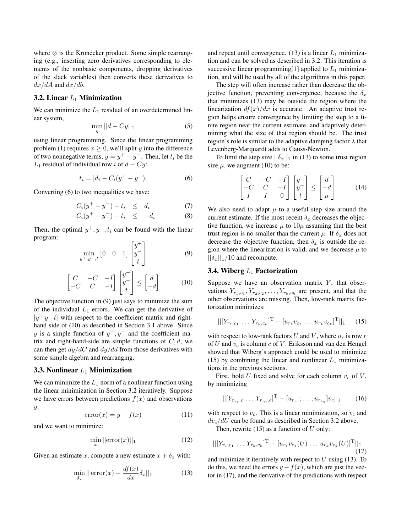where  $\otimes$  is the Kronecker product. Some simple rearranging (e.g., inserting zero derivatives corresponding to elements of the nonbasic components, dropping derivatives of the slack variables) then converts these derivatives to  $dx/dA$  and  $dx/db$ .

### 3.2. Linear  $L_1$  Minimization

We can minimize the  $L_1$  residual of an overdetermined linear system,

$$
\min_{y} ||d - Cy||_1 \tag{5}
$$

using linear programming. Since the linear programming problem (1) requires  $x > 0$ , we'll split y into the difference of two nonnegative terms,  $y = y^+ - y^-$ . Then, let  $t_i$  be the  $L_1$  residual of individual row i of  $d - Cy$ :

$$
t_i = |d_i - C_i(y^+ - y^-)| \tag{6}
$$

Converting (6) to two inequalities we have:

$$
C_i(y^+ - y^-) - t_i \le d_i \tag{7}
$$

$$
-C_i(y^+ - y^-) - t_i \le -d_i \tag{8}
$$

Then, the optimal  $y^+, y^-, t_i$  can be found with the linear program:

$$
\min_{y^+, y^-, t} \begin{bmatrix} 0 & 0 & 1 \end{bmatrix} \begin{bmatrix} y^+ \\ y^- \\ t \end{bmatrix} \tag{9}
$$

$$
\begin{bmatrix} C & -C & -I \\ -C & C & -I \end{bmatrix} \begin{bmatrix} y^+ \\ y^- \\ t \end{bmatrix} \le \begin{bmatrix} d \\ -d \end{bmatrix} \tag{10}
$$

The objective function in (9) just says to minimize the sum of the individual  $L_1$  errors. We can get the derivative of  $[y^+ y^- t]$  with respect to the coefficient matrix and righthand side of (10) as described in Section 3.1 above. Since y is a simple function of  $y^+, y^-$  and the coefficient matrix and right-hand-side are simple functions of  $C, d$ , we can then get  $dy/dC$  and  $dy/dd$  from those derivatives with some simple algebra and rearranging.

#### 3.3. Nonlinear  $L_1$  Minimization

We can minimize the  $L_1$  norm of a nonlinear function using the linear minimization in Section 3.2 iteratively. Suppose we have errors between predictions  $f(x)$  and observations y:

$$
error(x) = y - f(x) \tag{11}
$$

and we want to minimize:

$$
\min_{x} ||\text{error}(x)||_1 \tag{12}
$$

Given an estimate x, compute a new estimate  $x + \delta_x$  with:

$$
\min_{\delta_x} || \operatorname{error}(x) - \frac{df(x)}{dx} \delta_x ||_1 \tag{13}
$$

and repeat until convergence. (13) is a linear  $L_1$  minimization and can be solved as described in 3.2. This iteration is successive linear programming[1] applied to  $L_1$  minimization, and will be used by all of the algorithms in this paper.

The step will often increase rather than decrease the objective function, preventing convergence, because the  $\delta_x$ that minimizes (13) may be outside the region where the linearization  $df(x)/dx$  is accurate. An adaptive trust region helps ensure convergence by limiting the step to a finite region near the current estimate, and adaptively determining what the size of that region should be. The trust region's role is similar to the adaptive damping factor  $\lambda$  that Levenberg-Marquardt adds to Gauss-Newton.

To limit the step size  $||\delta_x||_1$  in (13) to some trust region size  $\mu$ , we augment (10) to be:

$$
\begin{bmatrix} C & -C & -I \\ -C & C & -I \\ I & I & 0 \end{bmatrix} \begin{bmatrix} y^+ \\ y^- \\ t \end{bmatrix} \le \begin{bmatrix} d \\ -d \\ \mu \end{bmatrix}
$$
 (14)

We also need to adapt  $\mu$  to a useful step size around the current estimate. If the most recent  $\delta_x$  decreases the objective function, we increase  $\mu$  to  $10\mu$  assuming that the best trust region is no smaller than the current  $\mu$ . If  $\delta_x$  does not decrease the objective function, then  $\delta_x$  is outside the region where the linearization is valid, and we decrease  $\mu$  to  $||\delta_x||_1/10$  and recompute.

#### 3.4. Wiberg  $L_1$  Factorization

Suppose we have an observation matrix  $Y$ , that observations  $Y_{r_1,c_1}, Y_{r_2,c_2}, \ldots, Y_{r_k,c_k}$  are present, and that the other observations are missing. Then, low-rank matrix factorization minimizes:

$$
||[Y_{r_1,c_1} \ldots Y_{r_k,c_k}]^{\mathrm{T}} - [u_{r_1}v_{c_1} \ldots u_{r_k}v_{c_k}]^{\mathrm{T}}||_1 \qquad (15)
$$

with respect to low-rank factors  $U$  and  $V$ , where  $u_r$  is row  $r$ of U and  $v_c$  is column c of V. Eriksson and van den Hengel showed that Wiberg's approach could be used to minimize (15) by combining the linear and nonlinear  $L_1$  minimizations in the previous sections.

First, hold U fixed and solve for each column  $v_c$  of V, by minimizing

$$
||[Y_{r_{i_1},c}\ldots Y_{r_{i_n},c}]^{\mathrm{T}} - [u_{r_{i_1}};\ldots;u_{r_{i_n}}]v_c||_1 \qquad (16)
$$

with respect to  $v_c$ . This is a linear minimization, so  $v_c$  and  $dv_c/dU$  can be found as described in Section 3.2 above.

Then, rewrite  $(15)$  as a function of U only:

$$
||[Y_{r_1,c_1} \ldots Y_{r_k,c_k}]^{\mathrm{T}} - [u_{r_1}v_{c_1}(U) \ldots u_{r_k}v_{c_k}(U)]^{\mathrm{T}}||_1
$$
\n(17)

and minimize it iteratively with respect to  $U$  using (13). To do this, we need the errors  $y - f(x)$ , which are just the vector in (17), and the derivative of the predictions with respect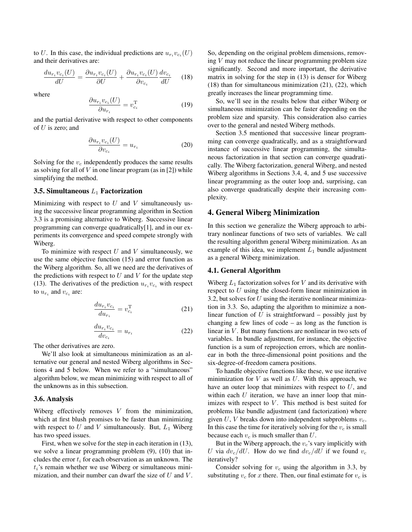to U. In this case, the individual predictions are  $u_{r_i}v_{c_i}(U)$ and their derivatives are:

$$
\frac{du_{r_i}v_{c_i}(U)}{dU} = \frac{\partial u_{r_i}v_{c_i}(U)}{\partial U} + \frac{\partial u_{r_i}v_{c_i}(U)}{\partial v_{c_i}}\frac{dv_{c_i}}{dU} \qquad (18)
$$

where

$$
\frac{\partial u_{r_i} v_{c_i}(U)}{\partial u_{r_i}} = v_{c_i}^{\mathrm{T}} \tag{19}
$$

and the partial derivative with respect to other components of  $U$  is zero; and

$$
\frac{\partial u_{r_i} v_{c_i}(U)}{\partial v_{c_i}} = u_{r_i}
$$
\n(20)

Solving for the  $v_c$  independently produces the same results as solving for all of  $V$  in one linear program (as in [2]) while simplifying the method.

#### 3.5. Simultaneous  $L_1$  Factorization

Minimizing with respect to  $U$  and  $V$  simultaneously using the successive linear programming algorithm in Section 3.3 is a promising alternative to Wiberg. Successive linear programming can converge quadratically[1], and in our experiments its convergence and speed compete strongly with Wiberg.

To minimize with respect  $U$  and  $V$  simultaneously, we use the same objective function (15) and error function as the Wiberg algorithm. So, all we need are the derivatives of the predictions with respect to  $U$  and  $V$  for the update step (13). The derivatives of the prediction  $u_{r_i}v_{c_i}$  with respect to  $u_{r_i}$  and  $v_{c_i}$  are:

$$
\frac{du_{r_i}v_{c_i}}{du_{r_i}} = v_{c_i}^{\mathrm{T}} \tag{21}
$$

$$
\frac{du_{r_i}v_{c_i}}{dv_{c_i}} = u_{r_i} \tag{22}
$$

The other derivatives are zero.

We'll also look at simultaneous minimization as an alternative our general and nested Wiberg algorithms in Sections 4 and 5 below. When we refer to a "simultaneous" algorithm below, we mean minimizing with respect to all of the unknowns as in this subsection.

#### 3.6. Analysis

Wiberg effectively removes  $V$  from the minimization, which at first blush promises to be faster than minimizing with respect to U and V simultaneously. But,  $L_1$  Wiberg has two speed issues.

First, when we solve for the step in each iteration in (13), we solve a linear programming problem (9), (10) that includes the error  $t_i$  for each observation as an unknown. The  $t_i$ 's remain whether we use Wiberg or simultaneous minimization, and their number can dwarf the size of  $U$  and  $V$ . So, depending on the original problem dimensions, removing V may not reduce the linear programming problem size significantly. Second and more important, the derivative matrix in solving for the step in (13) is denser for Wiberg (18) than for simultaneous minimization (21), (22), which greatly increases the linear programming time.

So, we'll see in the results below that either Wiberg or simultaneous minimization can be faster depending on the problem size and sparsity. This consideration also carries over to the general and nested Wiberg methods.

Section 3.5 mentioned that successive linear programming can converge quadratically, and as a straightforward instance of successive linear programming, the simultaneous factorization in that section can converge quadratically. The Wiberg factorization, general Wiberg, and nested Wiberg algorithms in Sections 3.4, 4, and 5 use successive linear programming as the outer loop and, surprising, can also converge quadratically despite their increasing complexity.

#### 4. General Wiberg Minimization

In this section we generalize the Wiberg approach to arbitrary nonlinear functions of two sets of variables. We call the resulting algorithm general Wiberg minimization. As an example of this idea, we implement  $L_1$  bundle adjustment as a general Wiberg minimization.

#### 4.1. General Algorithm

Wiberg  $L_1$  factorization solves for V and its derivative with respect to U using the closed-form linear minimization in 3.2, but solves for  $U$  using the iterative nonlinear minimization in 3.3. So, adapting the algorithm to minimize a nonlinear function of U is straightforward – possibly just by changing a few lines of code – as long as the function is linear in  $V$ . But many functions are nonlinear in two sets of variables. In bundle adjustment, for instance, the objective function is a sum of reprojection errors, which are nonlinear in both the three-dimensional point positions and the six-degree-of-freedom camera positions.

To handle objective functions like these, we use iterative minimization for  $V$  as well as  $U$ . With this approach, we have an outer loop that minimizes with respect to  $U$ , and within each  $U$  iteration, we have an inner loop that minimizes with respect to  $V$ . This method is best suited for problems like bundle adjustment (and factorization) where given U, V breaks down into independent subproblems  $v_c$ . In this case the time for iteratively solving for the  $v_c$  is small because each  $v_c$  is much smaller than U.

But in the Wiberg approach, the  $v_c$ 's vary implicitly with U via  $dv_c/dU$ . How do we find  $dv_c/dU$  if we found  $v_c$ iteratively?

Consider solving for  $v_c$  using the algorithm in 3.3, by substituting  $v_c$  for x there. Then, our final estimate for  $v_c$  is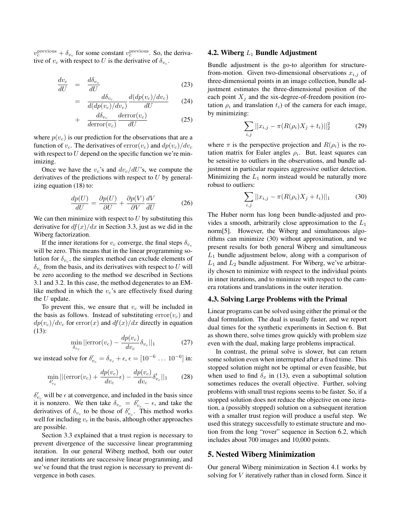$v_c^{\text{previous}} + \delta_{v_c}$  for some constant  $v_c^{\text{previous}}$ . So, the derivative of  $v_c$  with respect to U is the derivative of  $\delta_{v_c}$ .

$$
\frac{dv_c}{dU} = \frac{d\delta_{v_c}}{dU} \tag{23}
$$

$$
= \frac{d\delta_{v_c}}{d(dp(v_c)/dv_c)} \frac{d(dp(v_c)/dv_c)}{dU} \tag{24}
$$

$$
+ \frac{d\delta_{v_c}}{d \text{error}(v_c)} \frac{d \text{error}(v_c)}{dU} \tag{25}
$$

where  $p(v_c)$  is our prediction for the observations that are a function of  $v_c$ . The derivatives of  $error(v_c)$  and  $dp(v_c)/dv_c$ with respect to  $U$  depend on the specific function we're minimizing.

Once we have the  $v_c$ 's and  $dv_c/dU$ 's, we compute the derivatives of the predictions with respect to  $U$  by generalizing equation (18) to:

$$
\frac{dp(U)}{dU} = \frac{\partial p(U)}{\partial U} + \frac{\partial p(V)}{\partial V} \frac{dV}{dU}
$$
(26)

We can then minimize with respect to  $U$  by substituting this derivative for  $df(x)/dx$  in Section 3.3, just as we did in the Wiberg factorization.

If the inner iterations for  $v_c$  converge, the final steps  $\delta_{v_c}$ will be zero. This means that in the linear programming solution for  $\delta_{v_c}$ , the simplex method can exclude elements of  $\delta_{v_c}$  from the basis, and its derivatives with respect to U will be zero according to the method we described in Sections 3.1 and 3.2. In this case, the method degenerates to an EMlike method in which the  $v_c$ 's are effectively fixed during the  $U$  update.

To prevent this, we ensure that  $v_c$  will be included in the basis as follows. Instead of substituting  $error(v_c)$  and  $dp(v_c)/dv_c$  for error(x) and  $df(x)/dx$  directly in equation (13):

$$
\min_{\delta_{v_c}} ||\text{error}(v_c) - \frac{dp(v_c)}{dv_c}\delta_{v_c}||_1\tag{27}
$$

we instead solve for  $\delta'_{v_c} = \delta_{v_c} + \epsilon$ ,  $\epsilon = [10^{-6} \dots 10^{-6}]$  in:

$$
\min_{\delta'_{v_c}} ||(\text{error}(v_c) + \frac{dp(v_c)}{dv_c}\epsilon) - \frac{dp(v_c)}{dv_c}\delta'_{v_c}||_1 \qquad (28)
$$

 $\delta'_{v_c}$  will be  $\epsilon$  at convergence, and included in the basis since it is nonzero. We then take  $\delta_{v_c} = \delta'_{v_c} - \epsilon$ , and take the derivatives of  $\delta_{v_c}$  to be those of  $\delta'_{v_c}$ . This method works well for including  $v_c$  in the basis, although other approaches are possible.

Section 3.3 explained that a trust region is necessary to prevent divergence of the successive linear programming iteration. In our general Wiberg method, both our outer and inner iterations are successive linear programming, and we've found that the trust region is necessary to prevent divergence in both cases.

#### 4.2. Wiberg  $L_1$  Bundle Adjustment

Bundle adjustment is the go-to algorithm for structurefrom-motion. Given two-dimensional observations  $x_{i,j}$  of three-dimensional points in an image collection, bundle adjustment estimates the three-dimensional position of the each point  $X_i$  and the six-degree-of-freedom position (rotation  $\rho_i$  and translation  $t_i$ ) of the camera for each image, by minimizing:

$$
\sum_{i,j} ||x_{i,j} - \pi(R(\rho_i)X_j + t_i)||_2^2 \tag{29}
$$

where  $\pi$  is the perspective projection and  $R(\rho_i)$  is the rotation matrix for Euler angles  $\rho_i$ . But, least squares can be sensitive to outliers in the observations, and bundle adjustment in particular requires aggressive outlier detection. Minimizing the  $L_1$  norm instead would be naturally more robust to outliers:

$$
\sum_{i,j} ||x_{i,j} - \pi(R(\rho_i)X_j + t_i)||_1 \tag{30}
$$

The Huber norm has long been bundle-adjusted and provides a smooth, arbitrarily close approximation to the  $L_1$ norm[5]. However, the Wiberg and simultaneous algorithms can minimize (30) without approximation, and we present results for both general Wiberg and simultaneous  $L_1$  bundle adjustment below, along with a comparison of  $L_1$  and  $L_2$  bundle adjustment. For Wiberg, we've arbitrarily chosen to minimize with respect to the individual points in inner iterations, and to minimize with respect to the camera rotations and translations in the outer iteration.

#### 4.3. Solving Large Problems with the Primal

Linear programs can be solved using either the primal or the dual formulation. The dual is usually faster, and we report dual times for the synthetic experiments in Section 6. But as shown there, solve times grow quickly with problem size even with the dual, making large problems impractical.

In contrast, the primal solve is slower, but can return some solution even when interrupted after a fixed time. This stopped solution might not be optimal or even feasible, but when used to find  $\delta_x$  in (13), even a suboptimal solution sometimes reduces the overall objective. Further, solving problems with small trust regions seems to be faster. So, if a stopped solution does not reduce the objective on one iteration, a (possibly stopped) solution on a subsequent iteration with a smaller trust region will produce a useful step. We used this strategy successfully to estimate structure and motion from the long "rover" sequence in Section 6.2, which includes about 700 images and 10,000 points.

## 5. Nested Wiberg Minimization

Our general Wiberg minimization in Section 4.1 works by solving for *V* iteratively rather than in closed form. Since it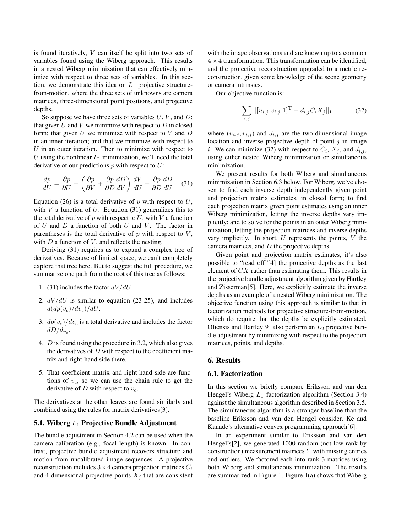is found iteratively, V can itself be split into two sets of variables found using the Wiberg approach. This results in a nested Wiberg minimization that can effectively minimize with respect to three sets of variables. In this section, we demonstrate this idea on  $L_1$  projective structurefrom-motion, where the three sets of unknowns are camera matrices, three-dimensional point positions, and projective depths.

So suppose we have three sets of variables  $U, V$ , and  $D$ ; that given  $U$  and  $V$  we minimize with respect to  $D$  in closed form; that given  $U$  we minimize with respect to  $V$  and  $D$ in an inner iteration; and that we minimize with respect to  $U$  in an outer iteration. Then to minimize with respect to U using the nonlinear  $L_1$  minimization, we'll need the total derivative of our predictions  $p$  with respect to  $U$ :

$$
\frac{dp}{dU} = \frac{\partial p}{\partial U} + \left(\frac{\partial p}{\partial V} + \frac{\partial p}{\partial D}\frac{dD}{dV}\right)\frac{dV}{dU} + \frac{\partial p}{\partial D}\frac{dD}{dU} \quad (31)
$$

Equation (26) is a total derivative of p with respect to  $U$ , with  $V$  a function of  $U$ . Equation (31) generalizes this to the total derivative of  $p$  with respect to  $U$ , with  $V$  a function of  $U$  and  $D$  a function of both  $U$  and  $V$ . The factor in parentheses is the total derivative of  $p$  with respect to  $V$ , with  $D$  a function of  $V$ , and reflects the nesting.

Deriving (31) requires us to expand a complex tree of derivatives. Because of limited space, we can't completely explore that tree here. But to suggest the full procedure, we summarize one path from the root of this tree as follows:

- 1. (31) includes the factor  $dV/dU$ .
- 2.  $dV/dU$  is similar to equation (23-25), and includes  $d(dp(v_c)/dv_c)/dU$ .
- 3.  $dp(v_c)/dv_c$  is a total derivative and includes the factor  $dD/d_{v_c}$ .
- 4. D is found using the procedure in 3.2, which also gives the derivatives of  $D$  with respect to the coefficient matrix and right-hand side there.
- 5. That coefficient matrix and right-hand side are functions of  $v_c$ , so we can use the chain rule to get the derivative of  $D$  with respect to  $v_c$ .

The derivatives at the other leaves are found similarly and combined using the rules for matrix derivatives[3].

### 5.1. Wiberg  $L_1$  Projective Bundle Adjustment

The bundle adjustment in Section 4.2 can be used when the camera calibration (e.g., focal length) is known. In contrast, projective bundle adjustment recovers structure and motion from uncalibrated image sequences. A projective reconstruction includes  $3 \times 4$  camera projection matrices  $C_i$ and 4-dimensional projective points  $X_j$  that are consistent

with the image observations and are known up to a common  $4 \times 4$  transformation. This transformation can be identified, and the projective reconstruction upgraded to a metric reconstruction, given some knowledge of the scene geometry or camera intrinsics.

Our objective function is:

$$
\sum_{i,j}||[u_{i,j} \ v_{i,j} \ 1]^{\mathrm{T}} - d_{i,j}C_iX_j||_1 \tag{32}
$$

where  $(u_{i,j}, v_{i,j})$  and  $d_{i,j}$  are the two-dimensional image location and inverse projective depth of point  $j$  in image *i*. We can minimize (32) with respect to  $C_i$ ,  $X_j$ , and  $d_{i,j}$ , using either nested Wiberg minimization or simultaneous minimization.

We present results for both Wiberg and simultaneous minimization in Section 6.3 below. For Wiberg, we've chosen to find each inverse depth independently given point and projection matrix estimates, in closed form; to find each projection matrix given point estimates using an inner Wiberg minimization, letting the inverse depths vary implicitly; and to solve for the points in an outer Wiberg minimization, letting the projection matrices and inverse depths vary implicitly. In short,  $U$  represents the points,  $V$  the camera matrices, and  $D$  the projective depths.

Given point and projection matrix estimates, it's also possible to "read off"[4] the projective depths as the last element of CX rather than estimating them. This results in the projective bundle adjustment algorithm given by Hartley and Zisserman[5]. Here, we explicitly estimate the inverse depths as an example of a nested Wiberg minimization. The objective function using this approach is similar to that in factorization methods for projective structure-from-motion, which do require that the depths be explicitly estimated. Oliensis and Hartley<sup>[9]</sup> also perform an  $L_2$  projective bundle adjustment by minimizing with respect to the projection matrices, points, and depths.

#### 6. Results

#### 6.1. Factorization

In this section we briefly compare Eriksson and van den Hengel's Wiberg  $L_1$  factorization algorithm (Section 3.4) against the simultaneous algorithm described in Section 3.5. The simultaneous algorithm is a stronger baseline than the baseline Eriksson and van den Hengel consider, Ke and Kanade's alternative convex programming approach[6].

In an experiment similar to Eriksson and van den Hengel's[2], we generated 1000 random (not low-rank by construction) measurement matrices  $Y$  with missing entries and outliers. We factored each into rank 3 matrices using both Wiberg and simultaneous minimization. The results are summarized in Figure 1. Figure 1(a) shows that Wiberg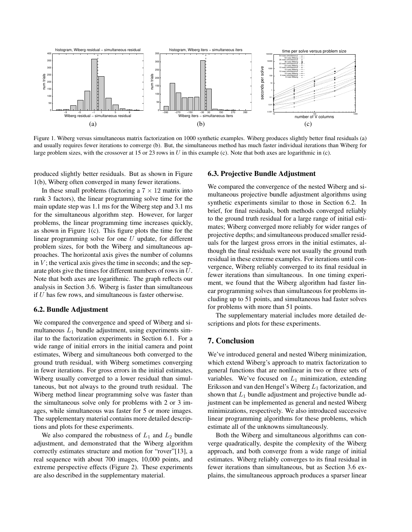

Figure 1. Wiberg versus simultaneous matrix factorization on 1000 synthetic examples. Wiberg produces slightly better final residuals (a) and usually requires fewer iterations to converge (b). But, the simultaneous method has much faster individual iterations than Wiberg for large problem sizes, with the crossover at 15 or 23 rows in U in this example (c). Note that both axes are logarithmic in (c).

produced slightly better residuals. But as shown in Figure 1(b), Wiberg often converged in many fewer iterations.

In these small problems (factoring a  $7 \times 12$  matrix into rank 3 factors), the linear programming solve time for the main update step was 1.1 ms for the Wiberg step and 3.1 ms for the simultaneous algorithm step. However, for larger problems, the linear programming time increases quickly, as shown in Figure 1(c). This figure plots the time for the linear programming solve for one U update, for different problem sizes, for both the Wiberg and simultaneous approaches. The horizontal axis gives the number of columns in  $V$ ; the vertical axis gives the time in seconds; and the separate plots give the times for different numbers of rows in U. Note that both axes are logarithmic. The graph reflects our analysis in Section 3.6. Wiberg is faster than simultaneous if U has few rows, and simultaneous is faster otherwise.

## 6.2. Bundle Adjustment

We compared the convergence and speed of Wiberg and simultaneous  $L_1$  bundle adjustment, using experiments similar to the factorization experiments in Section 6.1. For a wide range of initial errors in the initial camera and point estimates, Wiberg and simultaneous both converged to the ground truth residual, with Wiberg sometimes converging in fewer iterations. For gross errors in the initial estimates, Wiberg usually converged to a lower residual than simultaneous, but not always to the ground truth residual. The Wiberg method linear programming solve was faster than the simultaneous solve only for problems with 2 or 3 images, while simultaneous was faster for 5 or more images. The supplementary material contains more detailed descriptions and plots for these experiments.

We also compared the robustness of  $L_1$  and  $L_2$  bundle adjustment, and demonstrated that the Wiberg algorithm correctly estimates structure and motion for "rover"[13], a real sequence with about 700 images, 10,000 points, and extreme perspective effects (Figure 2). These experiments are also described in the supplementary material.

## 6.3. Projective Bundle Adjustment

We compared the convergence of the nested Wiberg and simultaneous projective bundle adjustment algorithms using synthetic experiments similar to those in Section 6.2. In brief, for final residuals, both methods converged reliably to the ground truth residual for a large range of initial estimates; Wiberg converged more reliably for wider ranges of projective depths; and simultaneous produced smaller residuals for the largest gross errors in the initial estimates, although the final residuals were not usually the ground truth residual in these extreme examples. For iterations until convergence, Wiberg reliably converged to its final residual in fewer iterations than simultaneous. In one timing experiment, we found that the Wiberg algorithm had faster linear programming solves than simultaneous for problems including up to 51 points, and simultaneous had faster solves for problems with more than 51 points.

The supplementary material includes more detailed descriptions and plots for these experiments.

### 7. Conclusion

We've introduced general and nested Wiberg minimization, which extend Wiberg's approach to matrix factorization to general functions that are nonlinear in two or three sets of variables. We've focused on  $L_1$  minimization, extending Eriksson and van den Hengel's Wiberg  $L_1$  factorization, and shown that  $L_1$  bundle adjustment and projective bundle adjustment can be implemented as general and nested Wiberg minimizations, respectively. We also introduced successive linear programming algorithms for these problems, which estimate all of the unknowns simultaneously.

Both the Wiberg and simultaneous algorithms can converge quadratically, despite the complexity of the Wiberg approach, and both converge from a wide range of initial estimates. Wiberg reliably converges to its final residual in fewer iterations than simultaneous, but as Section 3.6 explains, the simultaneous approach produces a sparser linear